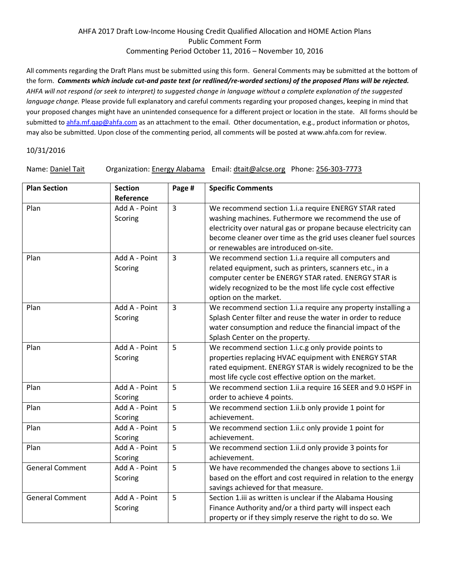## AHFA 2017 Draft Low-Income Housing Credit Qualified Allocation and HOME Action Plans Public Comment Form Commenting Period October 11, 2016 – November 10, 2016

All comments regarding the Draft Plans must be submitted using this form. General Comments may be submitted at the bottom of the form. *Comments which include cut-and paste text (or redlined/re-worded sections) of the proposed Plans will be rejected. AHFA will not respond (or seek to interpret) to suggested change in language without a complete explanation of the suggested language change.* Please provide full explanatory and careful comments regarding your proposed changes, keeping in mind that your proposed changes might have an unintended consequence for a different project or location in the state. All forms should be submitted to [ahfa.mf.qap@ahfa.com](mailto:ahfa.mf.qap@ahfa.com) as an attachment to the email. Other documentation, e.g., product information or photos, may also be submitted. Upon close of the commenting period, all comments will be posted at www.ahfa.com for review.

## 10/31/2016

Name: Daniel Tait Organization: Energy Alabama Email: dtait@alcse.org Phone: 256-303-7773

| <b>Plan Section</b>    | <b>Section</b><br>Reference | Page #         | <b>Specific Comments</b>                                                                                                                                                                                                                                                                   |
|------------------------|-----------------------------|----------------|--------------------------------------------------------------------------------------------------------------------------------------------------------------------------------------------------------------------------------------------------------------------------------------------|
| Plan                   | Add A - Point<br>Scoring    | $\overline{3}$ | We recommend section 1.i.a require ENERGY STAR rated<br>washing machines. Futhermore we recommend the use of<br>electricity over natural gas or propane because electricity can<br>become cleaner over time as the grid uses cleaner fuel sources<br>or renewables are introduced on-site. |
| Plan                   | Add A - Point<br>Scoring    | $\overline{3}$ | We recommend section 1.i.a require all computers and<br>related equipment, such as printers, scanners etc., in a<br>computer center be ENERGY STAR rated. ENERGY STAR is<br>widely recognized to be the most life cycle cost effective<br>option on the market.                            |
| Plan                   | Add A - Point<br>Scoring    | $\overline{3}$ | We recommend section 1.i.a require any property installing a<br>Splash Center filter and reuse the water in order to reduce<br>water consumption and reduce the financial impact of the<br>Splash Center on the property.                                                                  |
| Plan                   | Add A - Point<br>Scoring    | 5              | We recommend section 1.i.c.g only provide points to<br>properties replacing HVAC equipment with ENERGY STAR<br>rated equipment. ENERGY STAR is widely recognized to be the<br>most life cycle cost effective option on the market.                                                         |
| Plan                   | Add A - Point<br>Scoring    | 5              | We recommend section 1.ii.a require 16 SEER and 9.0 HSPF in<br>order to achieve 4 points.                                                                                                                                                                                                  |
| Plan                   | Add A - Point<br>Scoring    | 5              | We recommend section 1.ii.b only provide 1 point for<br>achievement.                                                                                                                                                                                                                       |
| Plan                   | Add A - Point<br>Scoring    | 5              | We recommend section 1.ii.c only provide 1 point for<br>achievement.                                                                                                                                                                                                                       |
| Plan                   | Add A - Point<br>Scoring    | 5              | We recommend section 1.ii.d only provide 3 points for<br>achievement.                                                                                                                                                                                                                      |
| <b>General Comment</b> | Add A - Point<br>Scoring    | 5              | We have recommended the changes above to sections 1.ii<br>based on the effort and cost required in relation to the energy<br>savings achieved for that measure.                                                                                                                            |
| <b>General Comment</b> | Add A - Point<br>Scoring    | 5              | Section 1.iii as written is unclear if the Alabama Housing<br>Finance Authority and/or a third party will inspect each<br>property or if they simply reserve the right to do so. We                                                                                                        |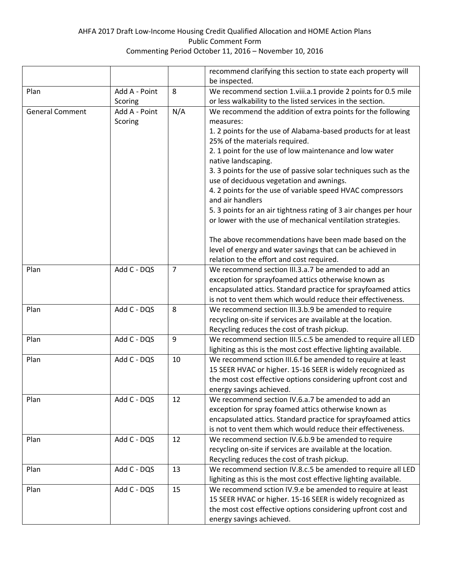## AHFA 2017 Draft Low-Income Housing Credit Qualified Allocation and HOME Action Plans Public Comment Form Commenting Period October 11, 2016 – November 10, 2016

|                        |               |                | recommend clarifying this section to state each property will                                          |
|------------------------|---------------|----------------|--------------------------------------------------------------------------------------------------------|
|                        |               |                | be inspected.                                                                                          |
| Plan                   | Add A - Point | 8              | We recommend section 1.viii.a.1 provide 2 points for 0.5 mile                                          |
|                        | Scoring       |                | or less walkability to the listed services in the section.                                             |
| <b>General Comment</b> | Add A - Point | N/A            | We recommend the addition of extra points for the following                                            |
|                        | Scoring       |                | measures:                                                                                              |
|                        |               |                | 1. 2 points for the use of Alabama-based products for at least                                         |
|                        |               |                | 25% of the materials required.                                                                         |
|                        |               |                | 2. 1 point for the use of low maintenance and low water                                                |
|                        |               |                | native landscaping.                                                                                    |
|                        |               |                | 3. 3 points for the use of passive solar techniques such as the                                        |
|                        |               |                | use of deciduous vegetation and awnings.                                                               |
|                        |               |                | 4. 2 points for the use of variable speed HVAC compressors                                             |
|                        |               |                | and air handlers                                                                                       |
|                        |               |                | 5. 3 points for an air tightness rating of 3 air changes per hour                                      |
|                        |               |                | or lower with the use of mechanical ventilation strategies.                                            |
|                        |               |                |                                                                                                        |
|                        |               |                | The above recommendations have been made based on the                                                  |
|                        |               |                | level of energy and water savings that can be achieved in<br>relation to the effort and cost required. |
| Plan                   | Add C - DQS   | $\overline{7}$ | We recommend section III.3.a.7 be amended to add an                                                    |
|                        |               |                | exception for sprayfoamed attics otherwise known as                                                    |
|                        |               |                | encapsulated attics. Standard practice for sprayfoamed attics                                          |
|                        |               |                | is not to vent them which would reduce their effectiveness.                                            |
| Plan                   | Add C - DQS   | 8              | We recommend section III.3.b.9 be amended to require                                                   |
|                        |               |                | recycling on-site if services are available at the location.                                           |
|                        |               |                | Recycling reduces the cost of trash pickup.                                                            |
| Plan                   | Add C - DQS   | 9              | We recommend section III.5.c.5 be amended to require all LED                                           |
|                        |               |                | lighiting as this is the most cost effective lighting available.                                       |
| Plan                   | Add C - DQS   | 10             | We recommend sction III.6.f be amended to require at least                                             |
|                        |               |                | 15 SEER HVAC or higher. 15-16 SEER is widely recognized as                                             |
|                        |               |                | the most cost effective options considering upfront cost and                                           |
|                        |               |                | energy savings achieved.                                                                               |
| Plan                   | Add C - DQS   | 12             | We recommend section IV.6.a.7 be amended to add an                                                     |
|                        |               |                | exception for spray foamed attics otherwise known as                                                   |
|                        |               |                | encapsulated attics. Standard practice for sprayfoamed attics                                          |
|                        |               |                | is not to vent them which would reduce their effectiveness.                                            |
| Plan                   | Add C - DQS   | 12             | We recommend section IV.6.b.9 be amended to require                                                    |
|                        |               |                | recycling on-site if services are available at the location.                                           |
|                        |               |                | Recycling reduces the cost of trash pickup.                                                            |
| Plan                   | Add C - DQS   | 13             | We recommend section IV.8.c.5 be amended to require all LED                                            |
|                        |               |                | lighiting as this is the most cost effective lighting available.                                       |
| Plan                   | Add C - DQS   | 15             | We recommend sction IV.9.e be amended to require at least                                              |
|                        |               |                | 15 SEER HVAC or higher. 15-16 SEER is widely recognized as                                             |
|                        |               |                | the most cost effective options considering upfront cost and                                           |
|                        |               |                | energy savings achieved.                                                                               |